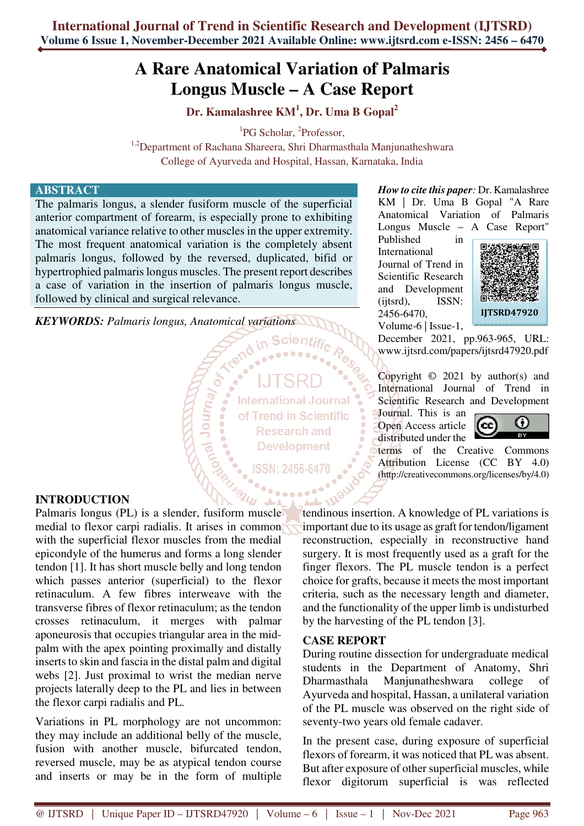# **A Rare Anatomical Variation of Palmaris Longus Muscle – A Case Report**

**Dr. Kamalashree KM<sup>1</sup> , Dr. Uma B Gopal<sup>2</sup>**

<sup>1</sup>PG Scholar, <sup>2</sup>Professor,

<sup>1,2</sup>Department of Rachana Shareera, Shri Dharmasthala Manjunatheshwara College of Ayurveda and Hospital, Hassan, Karnataka, India

## **ABSTRACT**

The palmaris longus, a slender fusiform muscle of the superficial anterior compartment of forearm, is especially prone to exhibiting anatomical variance relative to other muscles in the upper extremity. The most frequent anatomical variation is the completely absent palmaris longus, followed by the reversed, duplicated, bifid or hypertrophied palmaris longus muscles. The present report describes a case of variation in the insertion of palmaris longus muscle, followed by clinical and surgical relevance.

**Veumon revoit** 

*KEYWORDS: Palmaris longus, Anatomical variations* 

**International Journal** of Trend in Scientific **Research and Development** 

ISSN: 2456-6470

### *How to cite this paper:* Dr. Kamalashree KM | Dr. Uma B Gopal "A Rare Anatomical Variation of Palmaris Longus Muscle – A Case Report"

Published in International Journal of Trend in Scientific Research and Development (ijtsrd), ISSN: 2456-6470, Volume-6 | Issue-1,



December 2021, pp.963-965, URL: www.ijtsrd.com/papers/ijtsrd47920.pdf

Copyright  $\odot$  2021 by author(s) and International Journal of Trend in Scientific Research and Development

Journal. This is an Open Access article distributed under the



terms of the Creative Commons Attribution License (CC BY 4.0) (http://creativecommons.org/licenses/by/4.0)

## **INTRODUCTION**

Palmaris longus (PL) is a slender, fusiform muscle medial to flexor carpi radialis. It arises in common with the superficial flexor muscles from the medial epicondyle of the humerus and forms a long slender tendon [1]. It has short muscle belly and long tendon which passes anterior (superficial) to the flexor retinaculum. A few fibres interweave with the transverse fibres of flexor retinaculum; as the tendon crosses retinaculum, it merges with palmar aponeurosis that occupies triangular area in the midpalm with the apex pointing proximally and distally inserts to skin and fascia in the distal palm and digital webs [2]. Just proximal to wrist the median nerve projects laterally deep to the PL and lies in between the flexor carpi radialis and PL.

Variations in PL morphology are not uncommon: they may include an additional belly of the muscle, fusion with another muscle, bifurcated tendon, reversed muscle, may be as atypical tendon course and inserts or may be in the form of multiple tendinous insertion. A knowledge of PL variations is important due to its usage as graft for tendon/ligament reconstruction, especially in reconstructive hand surgery. It is most frequently used as a graft for the finger flexors. The PL muscle tendon is a perfect choice for grafts, because it meets the most important criteria, such as the necessary length and diameter, and the functionality of the upper limb is undisturbed by the harvesting of the PL tendon [3].

#### **CASE REPORT**

During routine dissection for undergraduate medical students in the Department of Anatomy, Shri Dharmasthala Manjunatheshwara college of Ayurveda and hospital, Hassan, a unilateral variation of the PL muscle was observed on the right side of seventy-two years old female cadaver.

In the present case, during exposure of superficial flexors of forearm, it was noticed that PL was absent. But after exposure of other superficial muscles, while flexor digitorum superficial is was reflected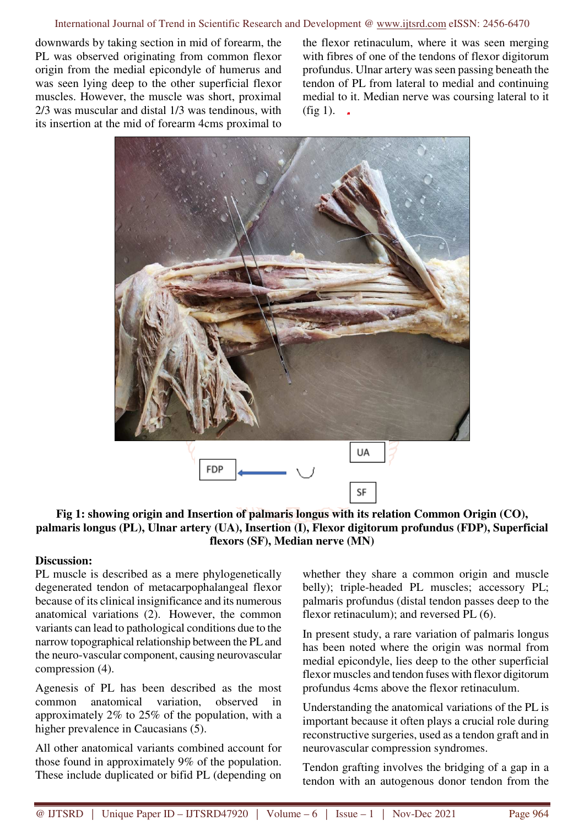downwards by taking section in mid of forearm, the PL was observed originating from common flexor origin from the medial epicondyle of humerus and was seen lying deep to the other superficial flexor muscles. However, the muscle was short, proximal 2/3 was muscular and distal 1/3 was tendinous, with its insertion at the mid of forearm 4cms proximal to

the flexor retinaculum, where it was seen merging with fibres of one of the tendons of flexor digitorum profundus. Ulnar artery was seen passing beneath the tendon of PL from lateral to medial and continuing medial to it. Median nerve was coursing lateral to it  $(fig 1)$ .



**Fig 1: showing origin and Insertion of palmaris longus with its relation Common Origin (CO), palmaris longus (PL), Ulnar artery (UA), Insertion (I), Flexor digitorum profundus (FDP), Superficial flexors (SF), Median nerve (MN)** 

## **Discussion:**

PL muscle is described as a mere phylogenetically degenerated tendon of metacarpophalangeal flexor because of its clinical insignificance and its numerous anatomical variations (2). However, the common variants can lead to pathological conditions due to the narrow topographical relationship between the PL and the neuro-vascular component, causing neurovascular compression (4).

Agenesis of PL has been described as the most common anatomical variation, observed in approximately 2% to 25% of the population, with a higher prevalence in Caucasians (5).

All other anatomical variants combined account for those found in approximately 9% of the population. These include duplicated or bifid PL (depending on

whether they share a common origin and muscle belly); triple-headed PL muscles; accessory PL; palmaris profundus (distal tendon passes deep to the flexor retinaculum); and reversed PL (6).

In present study, a rare variation of palmaris longus has been noted where the origin was normal from medial epicondyle, lies deep to the other superficial flexor muscles and tendon fuses with flexor digitorum profundus 4cms above the flexor retinaculum.

Understanding the anatomical variations of the PL is important because it often plays a crucial role during reconstructive surgeries, used as a tendon graft and in neurovascular compression syndromes.

Tendon grafting involves the bridging of a gap in a tendon with an autogenous donor tendon from the